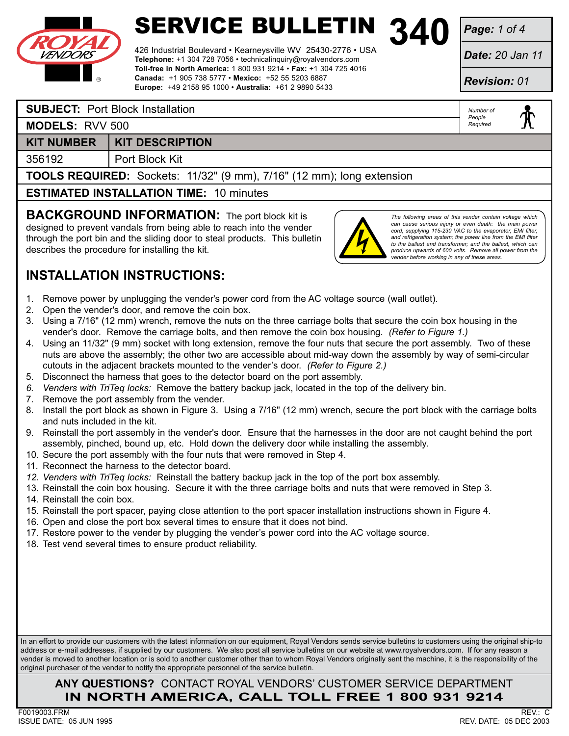

426 Industrial Boulevard • Kearneysville WV 25430-2776 • USA **Telephone:** +1 304 728 7056 • technicalinquiry@royalvendors.com **Toll-free in North America:** 1 800 931 9214 • **Fax:** +1 304 725 4016 **Canada:** +1 905 738 5777 • **Mexico:** +52 55 5203 6887 **Europe:** +49 2158 95 1000 • **Australia:** +61 2 9890 5433

*Page: 1 of 4*

*Date: 20 Jan 11*

*Revision: 01*

*Number of People Required*

#### **SUBJECT:** Port Block Installation

**MODELS:** RVV 500

### **KIT NUMBER** KIT DESCRIPTION

356192 Port Block Kit

**TOOLS REQUIRED:** Sockets: 11/32" (9 mm), 7/16" (12 mm); long extension

**ESTIMATED INSTALLATION TIME:** 10 minutes

**BACKGROUND INFORMATION:** The port block kit is designed to prevent vandals from being able to reach into the vender through the port bin and the sliding door to steal products. This bulletin describes the procedure for installing the kit.



*The following areas of this vender contain voltage which can cause serious injury or even death: the main power cord, supplying 115-230 VAC to the evaporator, EMI filter, and refrigeration system; the power line from the EMI filter to the ballast and transformer; and the ballast, which can produce upwards of 600 volts. Remove all power from the vender before working in any of these areas.*

## **INSTALLATION INSTRUCTIONS:**

- 1. Remove power by unplugging the vender's power cord from the AC voltage source (wall outlet).
- 2. Open the vender's door, and remove the coin box.
- 3. Using a 7/16" (12 mm) wrench, remove the nuts on the three carriage bolts that secure the coin box housing in the vender's door. Remove the carriage bolts, and then remove the coin box housing. *(Refer to Figure 1.)*
- 4. Using an 11/32" (9 mm) socket with long extension, remove the four nuts that secure the port assembly. Two of these nuts are above the assembly; the other two are accessible about mid-way down the assembly by way of semi-circular cutouts in the adjacent brackets mounted to the vender's door. *(Refer to Figure 2.)*
- 5. Disconnect the harness that goes to the detector board on the port assembly.
- *6. Venders with TriTeq locks:* Remove the battery backup jack, located in the top of the delivery bin.
- 7. Remove the port assembly from the vender.
- 8. Install the port block as shown in Figure 3. Using a 7/16" (12 mm) wrench, secure the port block with the carriage bolts and nuts included in the kit.
- 9. Reinstall the port assembly in the vender's door. Ensure that the harnesses in the door are not caught behind the port assembly, pinched, bound up, etc. Hold down the delivery door while installing the assembly.
- 10. Secure the port assembly with the four nuts that were removed in Step 4.
- 11. Reconnect the harness to the detector board.
- *12. Venders with TriTeq locks:* Reinstall the battery backup jack in the top of the port box assembly.
- 13. Reinstall the coin box housing. Secure it with the three carriage bolts and nuts that were removed in Step 3.
- 14. Reinstall the coin box.
- 15. Reinstall the port spacer, paying close attention to the port spacer installation instructions shown in Figure 4.
- 16. Open and close the port box several times to ensure that it does not bind.
- 17. Restore power to the vender by plugging the vender's power cord into the AC voltage source.
- 18. Test vend several times to ensure product reliability.

In an effort to provide our customers with the latest information on our equipment, Royal Vendors sends service bulletins to customers using the original ship-to address or e-mail addresses, if supplied by our customers. We also post all service bulletins on our website at www.royalvendors.com. If for any reason a vender is moved to another location or is sold to another customer other than to whom Royal Vendors originally sent the machine, it is the responsibility of the original purchaser of the vender to notify the appropriate personnel of the service bulletin.

### **Any Questions?** Contact Royal Vendors' Customer Service Department **in north america, Call Toll Free 1 800 931 9214**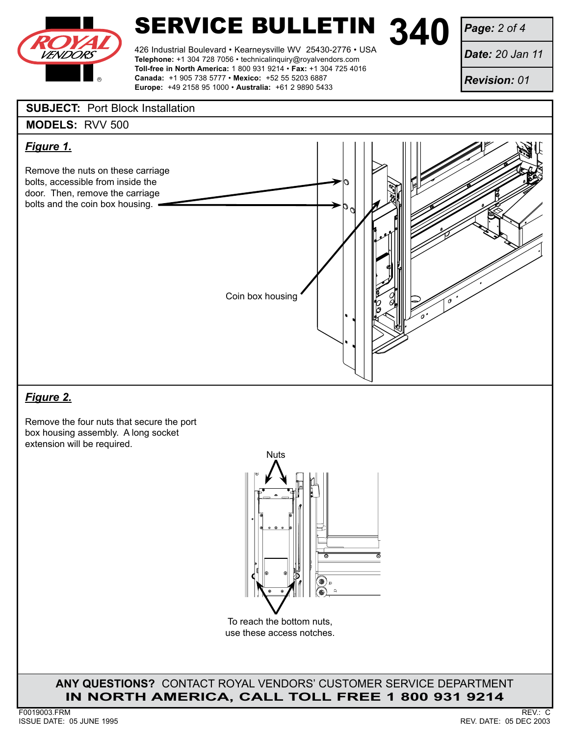

426 Industrial Boulevard • Kearneysville WV 25430-2776 • USA **Telephone:** +1 304 728 7056 • technicalinquiry@royalvendors.com **Toll-free in North America:** 1 800 931 9214 • **Fax:** +1 304 725 4016 **Canada:** +1 905 738 5777 • **Mexico:** +52 55 5203 6887 **Europe:** +49 2158 95 1000 • **Australia:** +61 2 9890 5433

*Page: 2 of 4*

*Date: 20 Jan 11*

*Revision: 01*

#### **SUBJECT:** Port Block Installation





## *Figure 2.*

Remove the four nuts that secure the port box housing assembly. A long socket extension will be required.



To reach the bottom nuts, use these access notches.

**Any Questions?** Contact Royal Vendors' Customer Service Department **in north america, Call Toll Free 1 800 931 9214**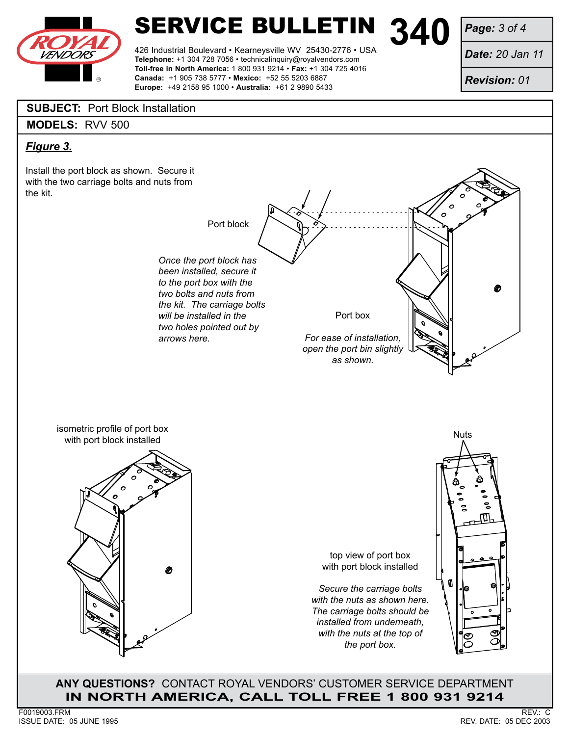

426 Industrial Boulevard • Kearneysville WV 25430-2776 • USA **Telephone:** +1 304 728 7056 • technicalinquiry@royalvendors.com **Toll-free in North America:** 1 800 931 9214 • **Fax:** +1 304 725 4016

**Canada:** +1 905 738 5777 • **Mexico:** +52 55 5203 6887 **Europe:** +49 2158 95 1000 • **Australia:** +61 2 9890 5433 *Page: 3 of 4*

*Date: 20 Jan 11*

*Revision: 01*

### **SUBJECT:** Port Block Installation

**MODELS:** RVV 500

### *Figure 3.*